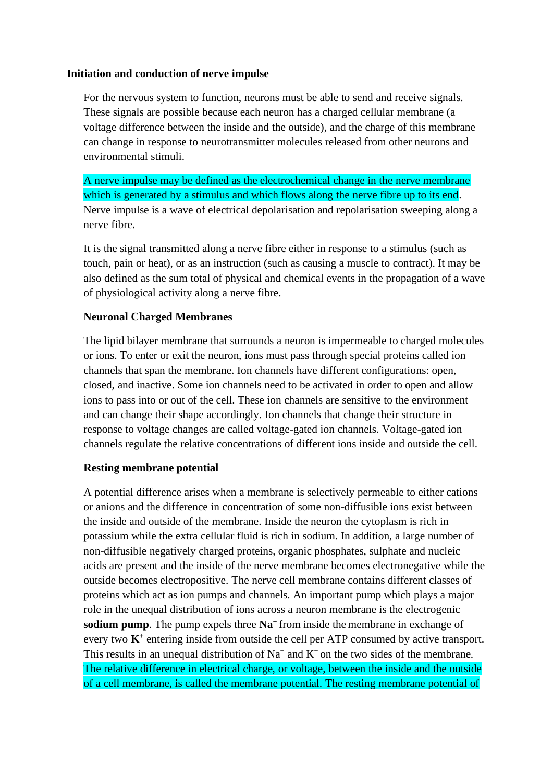## **Initiation and conduction of nerve impulse**

For the nervous system to function, neurons must be able to send and receive signals. These signals are possible because each neuron has a charged cellular membrane (a voltage difference between the inside and the outside), and the charge of this membrane can change in response to neurotransmitter molecules released from other neurons and environmental stimuli.

A nerve impulse may be defined as the electrochemical change in the nerve membrane which is generated by a stimulus and which flows along the nerve fibre up to its end. Nerve impulse is a wave of electrical depolarisation and repolarisation sweeping along a nerve fibre.

It is the signal transmitted along a nerve fibre either in response to a stimulus (such as touch, pain or heat), or as an instruction (such as causing a muscle to contract). It may be also defined as the sum total of physical and chemical events in the propagation of a wave of physiological activity along a nerve fibre.

## **Neuronal Charged Membranes**

The lipid bilayer membrane that surrounds a neuron is impermeable to charged molecules or ions. To enter or exit the neuron, ions must pass through special proteins called ion channels that span the membrane. Ion channels have different configurations: open, closed, and inactive. Some ion channels need to be activated in order to open and allow ions to pass into or out of the cell. These ion channels are sensitive to the environment and can change their shape accordingly. Ion channels that change their structure in response to voltage changes are called voltage-gated ion channels. Voltage-gated ion channels regulate the relative concentrations of different ions inside and outside the cell.

## **Resting membrane potential**

A potential difference arises when a membrane is selectively permeable to either cations or anions and the difference in concentration of some non-diffusible ions exist between the inside and outside of the membrane. Inside the neuron the cytoplasm is rich in potassium while the extra cellular fluid is rich in sodium. In addition, a large number of non-diffusible negatively charged proteins, organic phosphates, sulphate and nucleic acids are present and the inside of the nerve membrane becomes electronegative while the outside becomes electropositive. The nerve cell membrane contains different classes of proteins which act as ion pumps and channels. An important pump which plays a major role in the unequal distribution of ions across a neuron membrane is the electrogenic **sodium pump**. The pump expels three  $\text{Na}^+$  from inside the membrane in exchange of every two  $K^+$  entering inside from outside the cell per ATP consumed by active transport. This results in an unequal distribution of  $Na^+$  and  $K^+$  on the two sides of the membrane. The relative difference in electrical charge, or voltage, between the inside and the outside of a cell membrane, is called the membrane potential. The resting membrane potential of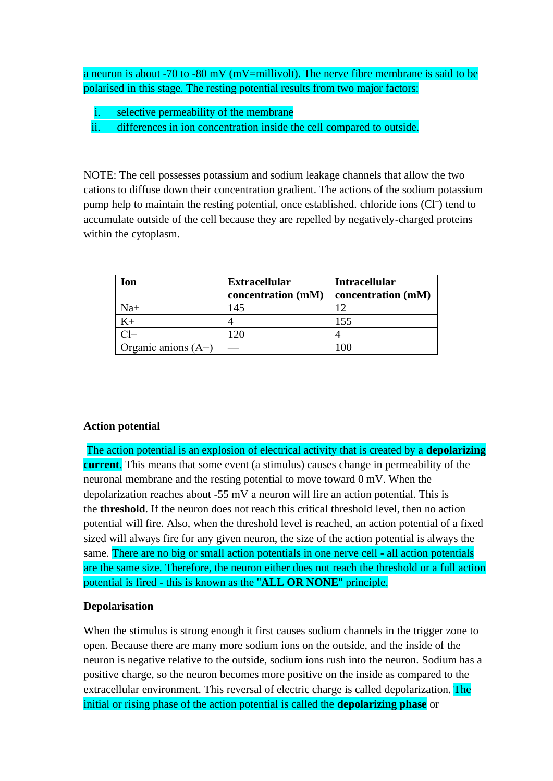a neuron is about -70 to -80 mV (mV=millivolt). The nerve fibre membrane is said to be polarised in this stage. The resting potential results from two major factors:

- selective permeability of the membrane
- ii. differences in ion concentration inside the cell compared to outside.

NOTE: The cell possesses potassium and sodium leakage channels that allow the two cations to diffuse down their concentration gradient. The actions of the sodium potassium pump help to maintain the resting potential, once established. chloride ions (Cl<sup>-</sup>) tend to accumulate outside of the cell because they are repelled by negatively-charged proteins within the cytoplasm.

| Ion                   | <b>Extracellular</b><br>concentration (mM) | <b>Intracellular</b><br>concentration (mM) |
|-----------------------|--------------------------------------------|--------------------------------------------|
| $Na+$                 | 145                                        | 12                                         |
|                       |                                            | 155                                        |
|                       | $\mathcal{D}$                              |                                            |
| Organic anions $(A-)$ |                                            |                                            |

#### **Action potential**

The action potential is an explosion of electrical activity that is created by a **depolarizing current**. This means that some event (a stimulus) causes change in permeability of the neuronal membrane and the resting potential to move toward 0 mV. When the depolarization reaches about -55 mV a neuron will fire an action potential. This is the **threshold**. If the neuron does not reach this critical threshold level, then no action potential will fire. Also, when the threshold level is reached, an action potential of a fixed sized will always fire for any given neuron, the size of the action potential is always the same. There are no big or small action potentials in one nerve cell - all action potentials are the same size. Therefore, the neuron either does not reach the threshold or a full action potential is fired - this is known as the "**ALL OR NONE**" principle.

#### **Depolarisation**

When the stimulus is strong enough it first causes sodium channels in the trigger zone to open. Because there are many more sodium ions on the outside, and the inside of the neuron is negative relative to the outside, sodium ions rush into the neuron. Sodium has a positive charge, so the neuron becomes more positive on the inside as compared to the extracellular environment. This reversal of electric charge is called depolarization. The initial or rising phase of the action potential is called the **depolarizing phase** or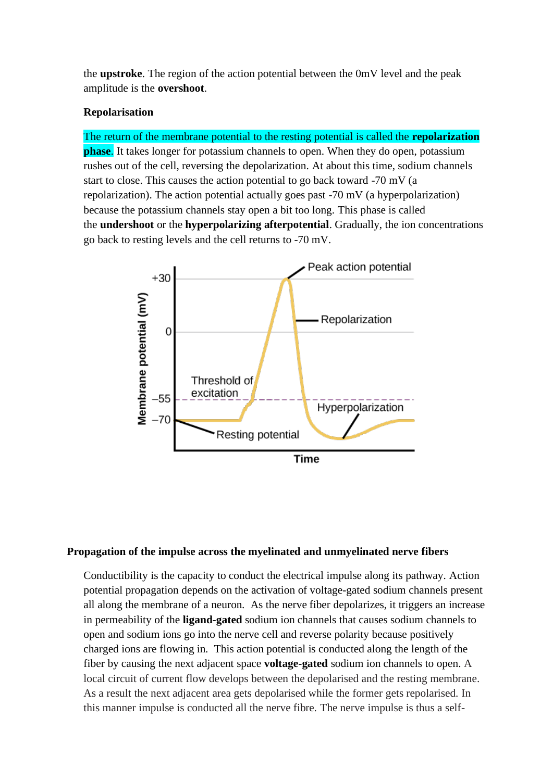the **upstroke**. The region of the action potential between the 0mV level and the peak amplitude is the **overshoot**.

#### **Repolarisation**

# The return of the membrane potential to the resting potential is called the **repolarization**

**phase**. It takes longer for potassium channels to open. When they do open, potassium rushes out of the cell, reversing the depolarization. At about this time, sodium channels start to close. This causes the action potential to go back toward -70 mV (a repolarization). The action potential actually goes past -70 mV (a hyperpolarization) because the potassium channels stay open a bit too long. This phase is called the **undershoot** or the **hyperpolarizing afterpotential**. Gradually, the ion concentrations go back to resting levels and the cell returns to -70 mV.



#### **Propagation of the impulse across the myelinated and unmyelinated nerve fibers**

Conductibility is the capacity to conduct the electrical impulse along its pathway. Action potential propagation depends on the activation of voltage-gated sodium channels present all along the membrane of a neuron. As the nerve fiber depolarizes, it triggers an increase in permeability of the **ligand-gated** sodium ion channels that causes sodium channels to open and sodium ions go into the nerve cell and reverse polarity because positively charged ions are flowing in. This action potential is conducted along the length of the fiber by causing the next adjacent space **voltage-gated** sodium ion channels to open. A local circuit of current flow develops between the depolarised and the resting membrane. As a result the next adjacent area gets depolarised while the former gets repolarised. In this manner impulse is conducted all the nerve fibre. The nerve impulse is thus a self